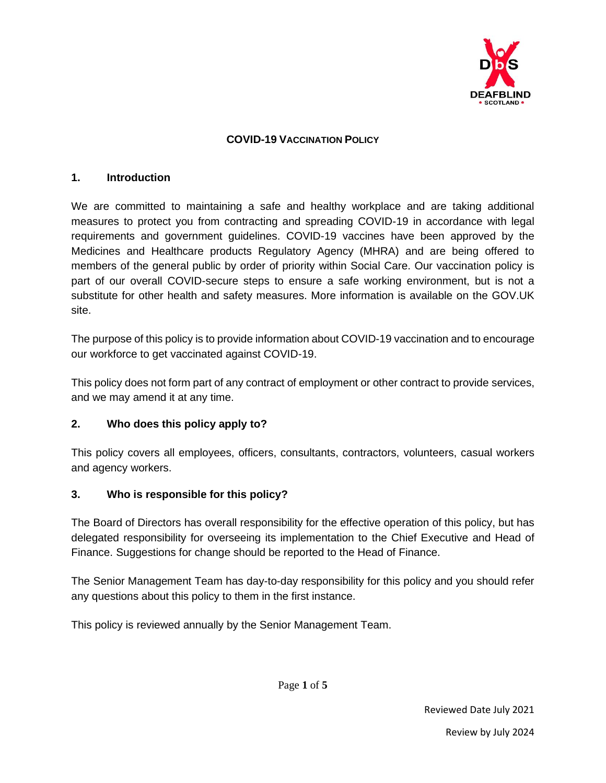

#### **COVID-19 VACCINATION POLICY**

#### **1. Introduction**

We are committed to maintaining a safe and healthy workplace and are taking additional measures to protect you from contracting and spreading COVID-19 in accordance with legal requirements and government guidelines. COVID-19 vaccines have been approved by the Medicines and Healthcare products Regulatory Agency (MHRA) and are being offered to members of the general public by order of priority within Social Care. Our vaccination policy is part of our overall COVID-secure steps to ensure a safe working environment, but is not a substitute for other health and safety measures. More information is available on the GOV.UK site.

The purpose of this policy is to provide information about COVID-19 vaccination and to encourage our workforce to get vaccinated against COVID-19.

This policy does not form part of any contract of employment or other contract to provide services, and we may amend it at any time.

#### **2. Who does this policy apply to?**

This policy covers all employees, officers, consultants, contractors, volunteers, casual workers and agency workers.

#### **3. Who is responsible for this policy?**

The Board of Directors has overall responsibility for the effective operation of this policy, but has delegated responsibility for overseeing its implementation to the Chief Executive and Head of Finance. Suggestions for change should be reported to the Head of Finance.

The Senior Management Team has day-to-day responsibility for this policy and you should refer any questions about this policy to them in the first instance.

This policy is reviewed annually by the Senior Management Team.

Page **1** of **5**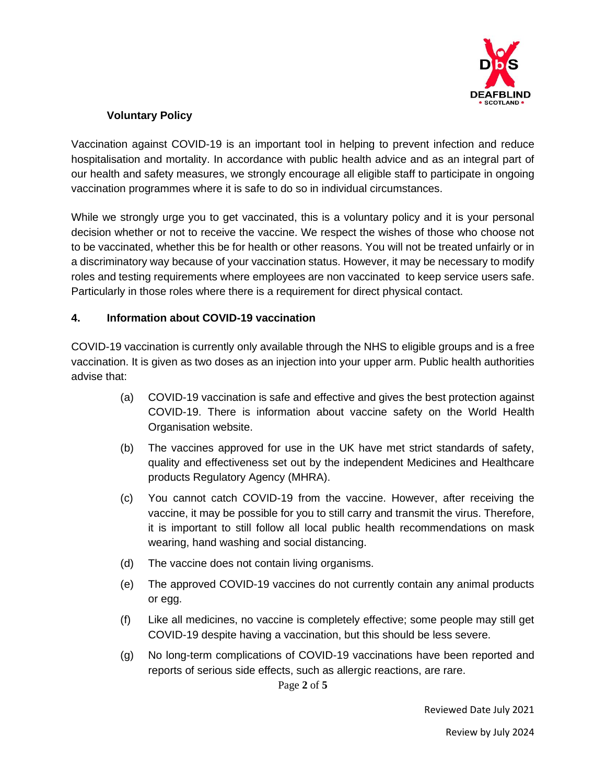

# **Voluntary Policy**

Vaccination against COVID-19 is an important tool in helping to prevent infection and reduce hospitalisation and mortality. In accordance with public health advice and as an integral part of our health and safety measures, we strongly encourage all eligible staff to participate in ongoing vaccination programmes where it is safe to do so in individual circumstances.

While we strongly urge you to get vaccinated, this is a voluntary policy and it is your personal decision whether or not to receive the vaccine. We respect the wishes of those who choose not to be vaccinated, whether this be for health or other reasons. You will not be treated unfairly or in a discriminatory way because of your vaccination status. However, it may be necessary to modify roles and testing requirements where employees are non vaccinated to keep service users safe. Particularly in those roles where there is a requirement for direct physical contact.

#### **4. Information about COVID-19 vaccination**

COVID-19 vaccination is currently only available through the NHS to eligible groups and is a free vaccination. It is given as two doses as an injection into your upper arm. Public health authorities advise that:

- (a) COVID-19 vaccination is safe and effective and gives the best protection against COVID-19. There is information about vaccine safety on the World Health Organisation website.
- (b) The vaccines approved for use in the UK have met strict standards of safety, quality and effectiveness set out by the independent Medicines and Healthcare products Regulatory Agency (MHRA).
- (c) You cannot catch COVID-19 from the vaccine. However, after receiving the vaccine, it may be possible for you to still carry and transmit the virus. Therefore, it is important to still follow all local public health recommendations on mask wearing, hand washing and social distancing.
- (d) The vaccine does not contain living organisms.
- (e) The approved COVID-19 vaccines do not currently contain any animal products or egg.
- (f) Like all medicines, no vaccine is completely effective; some people may still get COVID-19 despite having a vaccination, but this should be less severe.
- (g) No long-term complications of COVID-19 vaccinations have been reported and reports of serious side effects, such as allergic reactions, are rare.

Page **2** of **5**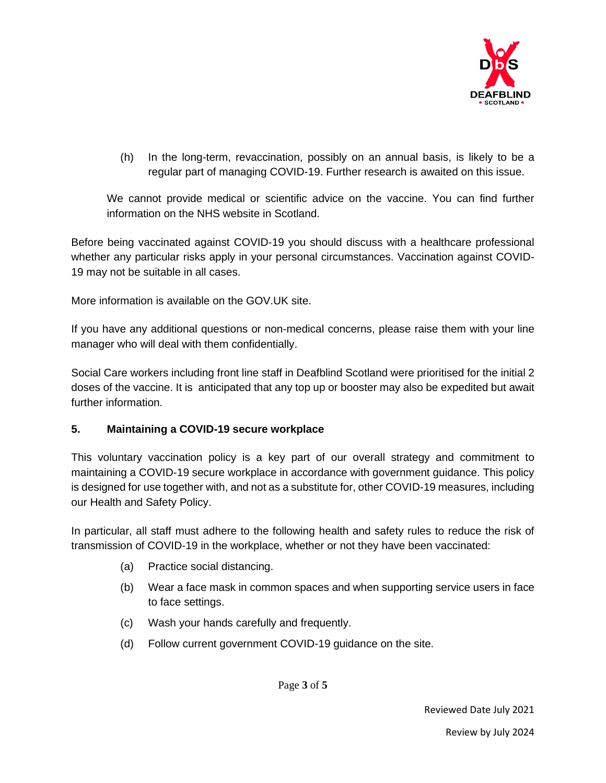

(h) In the long-term, revaccination, possibly on an annual basis, is likely to be a regular part of managing COVID-19. Further research is awaited on this issue.

We cannot provide medical or scientific advice on the vaccine. You can find further information on the NHS website in Scotland.

Before being vaccinated against COVID-19 you should discuss with a healthcare professional whether any particular risks apply in your personal circumstances. Vaccination against COVID-19 may not be suitable in all cases.

More information is available on the GOV.UK site.

If you have any additional questions or non-medical concerns, please raise them with your line manager who will deal with them confidentially.

Social Care workers including front line staff in Deafblind Scotland were prioritised for the initial 2 doses of the vaccine. It is anticipated that any top up or booster may also be expedited but await further information.

#### **5. Maintaining a COVID-19 secure workplace**

This voluntary vaccination policy is a key part of our overall strategy and commitment to maintaining a COVID-19 secure workplace in accordance with government guidance. This policy is designed for use together with, and not as a substitute for, other COVID-19 measures, including our Health and Safety Policy.

In particular, all staff must adhere to the following health and safety rules to reduce the risk of transmission of COVID-19 in the workplace, whether or not they have been vaccinated:

- (a) Practice social distancing.
- (b) Wear a face mask in common spaces and when supporting service users in face to face settings.
- (c) Wash your hands carefully and frequently.
- (d) Follow current government COVID-19 guidance on the site.

Page **3** of **5**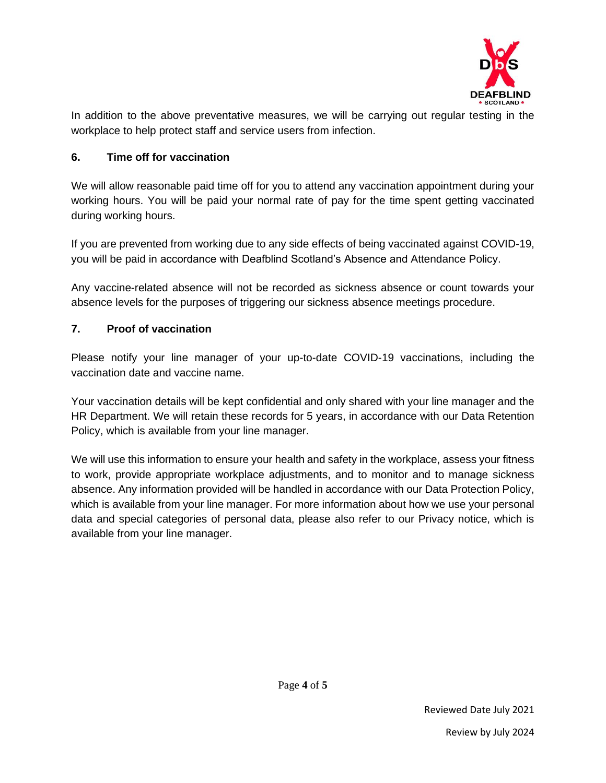

In addition to the above preventative measures, we will be carrying out regular testing in the workplace to help protect staff and service users from infection.

## **6. Time off for vaccination**

We will allow reasonable paid time off for you to attend any vaccination appointment during your working hours. You will be paid your normal rate of pay for the time spent getting vaccinated during working hours.

If you are prevented from working due to any side effects of being vaccinated against COVID-19, you will be paid in accordance with Deafblind Scotland's Absence and Attendance Policy.

Any vaccine-related absence will not be recorded as sickness absence or count towards your absence levels for the purposes of triggering our sickness absence meetings procedure.

## **7. Proof of vaccination**

Please notify your line manager of your up-to-date COVID-19 vaccinations, including the vaccination date and vaccine name.

Your vaccination details will be kept confidential and only shared with your line manager and the HR Department. We will retain these records for 5 years, in accordance with our Data Retention Policy, which is available from your line manager.

We will use this information to ensure your health and safety in the workplace, assess your fitness to work, provide appropriate workplace adjustments, and to monitor and to manage sickness absence. Any information provided will be handled in accordance with our Data Protection Policy, which is available from your line manager. For more information about how we use your personal data and special categories of personal data, please also refer to our Privacy notice, which is available from your line manager.